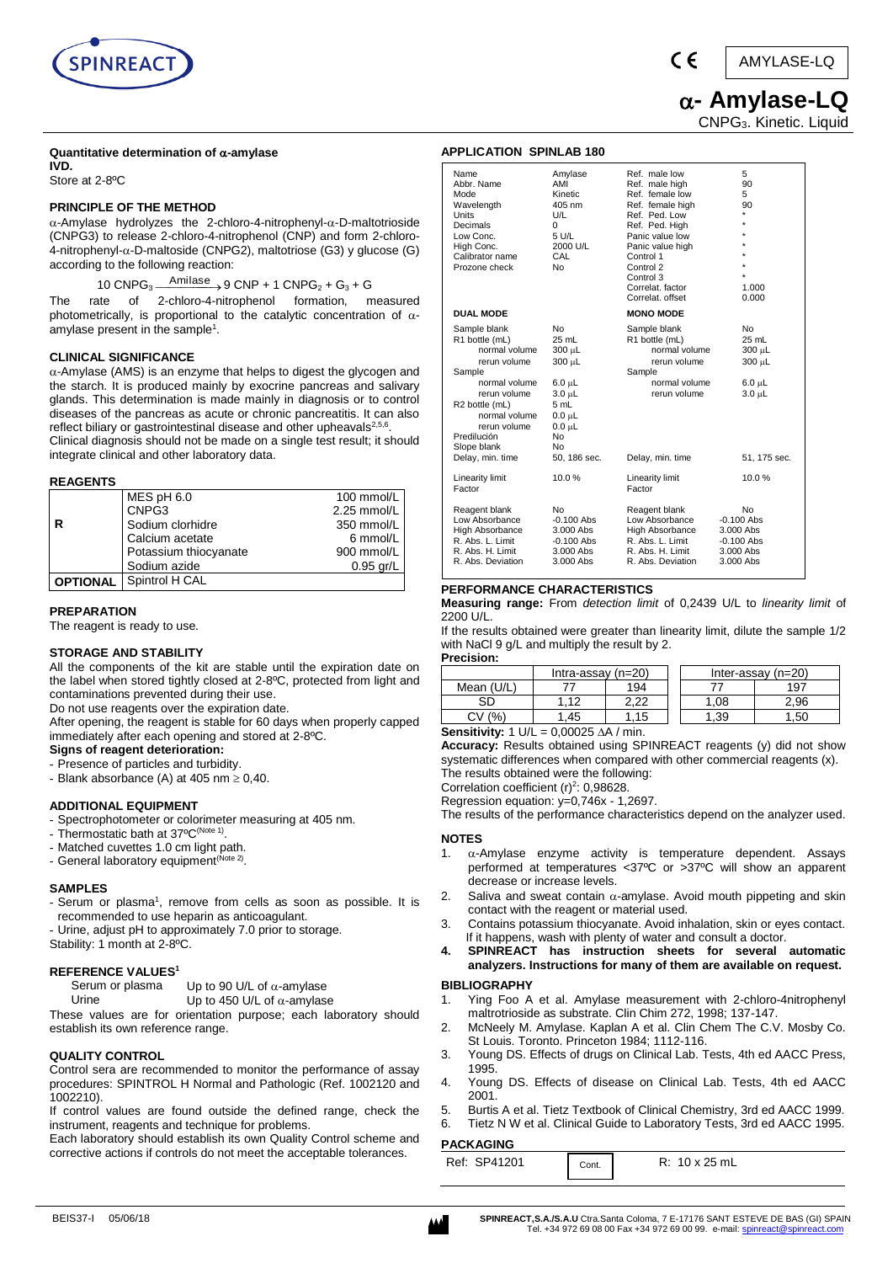

AMYLASE-LQ

# **- Amylase-LQ**

 $\epsilon$ 

CNPG3. Kinetic. Liquid

### **Quantitative determination of -amylase**

**IVD.**  Store at 2-8ºC

### **PRINCIPLE OF THE METHOD**

 $\alpha$ -Amylase hydrolyzes the 2-chloro-4-nitrophenyl- $\alpha$ -D-maltotrioside (CNPG3) to release 2-chloro-4-nitrophenol (CNP) and form 2-chloro- $4$ -nitrophenyl- $\alpha$ -D-maltoside (CNPG2), maltotriose (G3) y glucose (G) according to the following reaction:

10 CNPG<sub>3</sub>  $\xrightarrow{\text{Amilase}} 9$  CNP + 1 CNPG<sub>2</sub> + G<sub>3</sub> + G

The rate of 2-chloro-4-nitrophenol formation, measured photometrically, is proportional to the catalytic concentration of  $\alpha$ amylase present in the sample<sup>1</sup>.

### **CLINICAL SIGNIFICANCE**

 $\alpha$ -Amylase (AMS) is [an enzyme th](http://216.239.35.120/translate_c?hl=en&u=http://pcs.adam.com/ency/article/002353.htm&prev=/search%3Fq%3Damilasa%26start%3D10%26hl%3Den%26lr%3D%26ie%3DUTF-8%26oe%3DUTF-8%26sa%3DN)at helps to digest the glycogen and the starch. It is produced mainly by exocrine pancreas and salivary glands. This determination is made mainly in diagnosis or to control diseases of the pancreas as acute or chronic pancreatitis. It can also reflect biliary or gastrointestinal disease and other upheavals<sup>2,5,6</sup>. Clinical diagnosis should not be made on a single test result; it should integrate clinical and other laboratory data.

### **REAGENTS**

|                 | MES pH 6.0            | 100 mmol/L  |
|-----------------|-----------------------|-------------|
|                 | CNPG3                 | 2.25 mmol/L |
|                 | Sodium clorhidre      | 350 mmol/L  |
|                 | Calcium acetate       | 6 mmol/L    |
|                 | Potassium thiocyanate | 900 mmol/L  |
|                 | Sodium azide          | $0.95$ gr/L |
| <b>OPTIONAL</b> | Spintrol H CAL        |             |

### **PREPARATION**

The reagent is ready to use.

### **STORAGE AND STABILITY**

All the components of the kit are stable until the expiration date on the label when stored tightly closed at 2-8ºC, protected from light and contaminations prevented during their use.

Do not use reagents over the expiration date.

After opening, the reagent is stable for 60 days when properly capped immediately after each opening and stored at 2-8ºC.

## **Signs of reagent deterioration:**

- Presence of particles and turbidity.
- Blank absorbance (A) at 405 nm  $\geq 0,40$ .

### **ADDITIONAL EQUIPMENT**

- Spectrophotometer or colorimeter measuring at 405 nm.
- Thermostatic bath at 37°C<sup>(Note 1)</sup>.
- Matched cuvettes 1.0 cm light path.
- General laboratory equipment<sup>(Note 2)</sup>.

### **SAMPLES**

- Serum or plasma<sup>1</sup>, remove from cells as soon as possible. It is recommended to use heparin as anticoagulant.
- Urine, adjust pH to approximately 7.0 prior to storage.
- Stability: 1 month at 2-8°C.

### **REFERENCE VALUES<sup>1</sup>**

| Serum or plasma | Up to 90 U/L of $\alpha$ -amylase |
|-----------------|-----------------------------------|
|                 |                                   |

Urine Up to 450 U/L of  $\alpha$ -amylase

These values are for orientation purpose; each laboratory should establish its own reference range.

### **QUALITY CONTROL**

Control sera are recommended to monitor the performance of assay procedures: SPINTROL H Normal and Pathologic (Ref. 1002120 and 1002210).

If control values are found outside the defined range, check the instrument, reagents and technique for problems.

Each laboratory should establish its own Quality Control scheme and corrective actions if controls do not meet the acceptable tolerances.

| <b>APPLICATION SPINLAB 180</b>                                                                                                                                                              |                                                                                                                                  |                                                                                                                                                                            |                                                                           |
|---------------------------------------------------------------------------------------------------------------------------------------------------------------------------------------------|----------------------------------------------------------------------------------------------------------------------------------|----------------------------------------------------------------------------------------------------------------------------------------------------------------------------|---------------------------------------------------------------------------|
| Name<br>Abbr. Name<br>Mode<br>Wavelength<br>Units<br>Decimals<br>Low Conc.<br>High Conc.<br>Calibrator name<br>Prozone check                                                                | Amylase<br>AMI<br>Kinetic<br>405 nm<br>U/L<br>0<br>5 U/L<br>2000 U/L<br>CAL<br><b>No</b>                                         | Ref. male low<br>Ref. male high<br>Ref. female low<br>Ref. female high<br>Ref. Ped. Low<br>Ref. Ped. High<br>Panic value low<br>Panic value high<br>Control 1<br>Control 2 | 5<br>90<br>5<br>90                                                        |
| <b>DUAL MODE</b>                                                                                                                                                                            |                                                                                                                                  | Control 3<br>Correlat. factor<br>Correlat. offset<br><b>MONO MODE</b>                                                                                                      | 1.000<br>0.000                                                            |
| Sample blank<br>R1 bottle (mL)<br>normal volume<br>rerun volume<br>Sample<br>normal volume<br>rerun volume<br>R2 bottle (mL)<br>normal volume<br>rerun volume<br>Predilución<br>Slope blank | <b>No</b><br>25 mL<br>$300 \mu L$<br>$300 \mu L$<br>$6.0 \mu L$<br>$3.0 \mu L$<br>5 mL<br>$0.0 \mu L$<br>$0.0 \mu L$<br>No<br>No | Sample blank<br>R1 bottle (mL)<br>normal volume<br>rerun volume<br>Sample<br>normal volume<br>rerun volume                                                                 | <b>No</b><br>25 mL<br>300 µL<br>$300 \mu L$<br>$6.0 \mu L$<br>$3.0 \mu L$ |
| Delay, min. time<br>Linearity limit<br>Factor<br>Reagent blank<br>Low Absorbance<br><b>High Absorbance</b>                                                                                  | 50, 186 sec.<br>10.0%<br><b>No</b><br>$-0.100$ Abs<br>3.000 Abs                                                                  | Delay, min. time<br><b>Linearity limit</b><br>Factor<br>Reagent blank<br>Low Absorbance<br>High Absorbance                                                                 | 51, 175 sec.<br>10.0%<br>No<br>$-0.100$ Abs<br>3.000 Abs                  |
| R. Abs. L. Limit<br>R. Abs. H. Limit<br>R. Abs. Deviation                                                                                                                                   | $-0.100$ Abs<br>3.000 Abs<br>3.000 Abs                                                                                           | R. Abs. L. Limit<br>R. Abs. H. Limit<br>R. Abs. Deviation                                                                                                                  | $-0.100$ Abs<br>3.000 Abs<br>3.000 Abs                                    |

### **PERFORMANCE CHARACTERISTICS**

**Measuring range:** From *detection limit* of 0,2439 U/L to *linearity limit* of 2200 U/L.

If the results obtained were greater than linearity limit, dilute the sample 1/2 with NaCl 9 g/L and multiply the result by 2.

| <b>Precision:</b>                                                       |                      |      |  |      |                      |  |
|-------------------------------------------------------------------------|----------------------|------|--|------|----------------------|--|
|                                                                         | Intra-assay $(n=20)$ |      |  |      | Inter-assay $(n=20)$ |  |
| Mean (U/L)                                                              |                      | 194  |  |      | 197                  |  |
| SD                                                                      | 1.12                 | 2.22 |  | 1,08 | 2.96                 |  |
| CV(%)                                                                   | 1.45                 | 1.15 |  | 1.39 | l .50                |  |
| <b>Sensitivity:</b> $1 \text{ U/L} = 0.00025 \text{ A/A} / \text{min.}$ |                      |      |  |      |                      |  |

**Accuracy:** Results obtained using SPINREACT reagents (y) did not show systematic differences when compared with other commercial reagents (x).

The results obtained were the following:

Correlation coefficient  $(r)^2$ : 0,98628. Regression equation: y=0,746x - 1,2697.

The results of the performance characteristics depend on the analyzer used.

### **NOTES**

- 1.  $\alpha$ -Amylase enzyme activity is temperature dependent. Assays performed at temperatures <37ºC or >37ºC will show an apparent decrease or increase levels.
- 2. Saliva and sweat contain  $\alpha$ -amylase. Avoid mouth pippeting and skin contact with the reagent or material used.
- 3. Contains potassium thiocyanate. Avoid inhalation, skin or eyes contact. If it happens, wash with plenty of water and consult a doctor.
- **4. SPINREACT has instruction sheets for several automatic analyzers. Instructions for many of them are available on request.**

### **BIBLIOGRAPHY**

- Ying Foo A et al. Amylase measurement with 2-chloro-4nitrophenyl maltrotrioside as substrate. Clin Chim 272, 1998; 137-147.
- 2. McNeely M. Amylase. Kaplan A et al. Clin Chem The C.V. Mosby Co. St Louis. Toronto. Princeton 1984; 1112-116.
- 3. Young DS. Effects of drugs on Clinical Lab. Tests, 4th ed AACC Press, 1995.
- 4. Young DS. Effects of disease on Clinical Lab. Tests, 4th ed AACC 2001.
- 5. Burtis A et al. Tietz Textbook of Clinical Chemistry, 3rd ed AACC 1999.
- 6. Tietz N W et al. Clinical Guide to Laboratory Tests, 3rd ed AACC 1995.

### **PACKAGING**

| Ref: SP41201 | Cont. | R: 10 x 25 mL |
|--------------|-------|---------------|
|              |       |               |

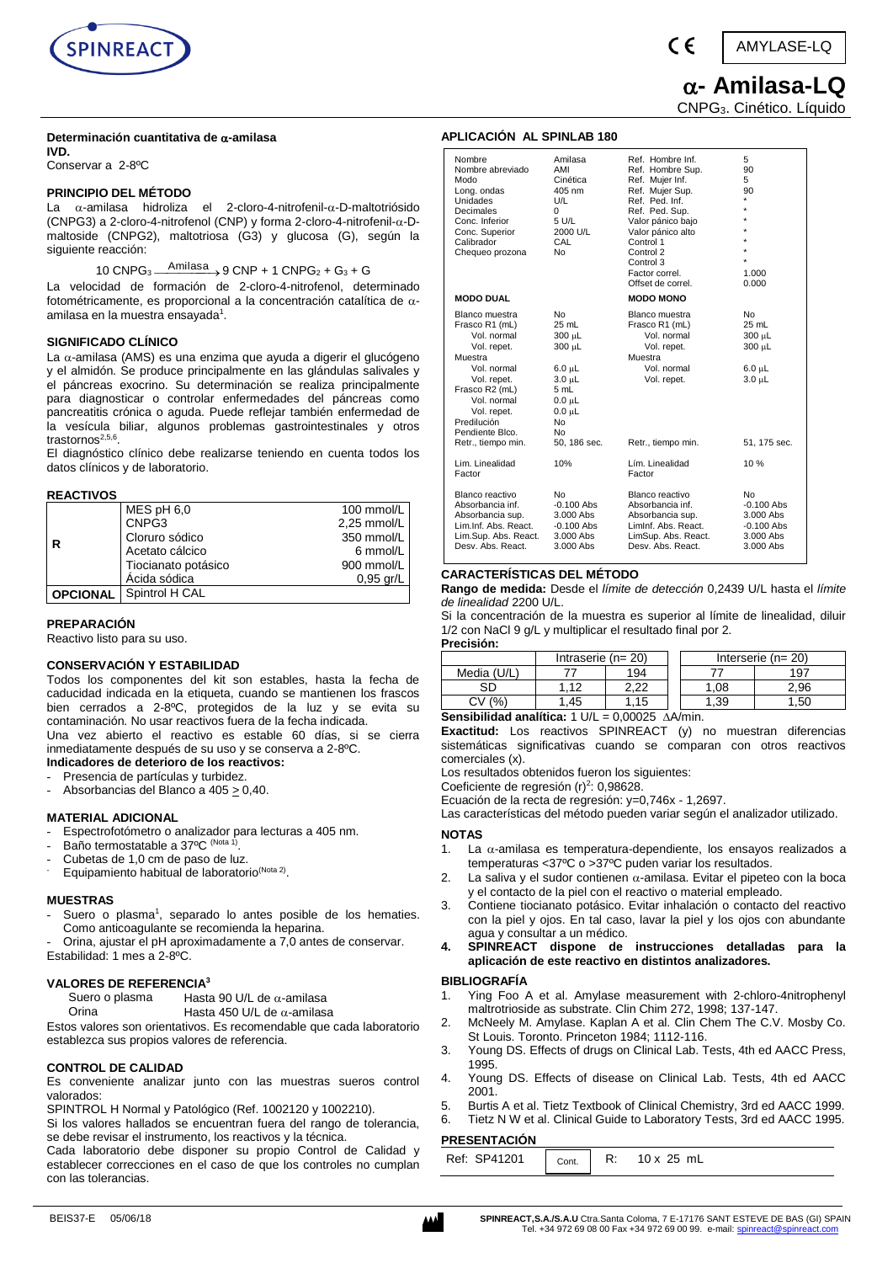

( F

**- Amilasa-LQ** 

AMYLASE-LQ

CNPG3. Cinético. Líquido

#### **Determinación cuantitativa de -amilasa IVD.**

Conservar a 2-8ºC

### **PRINCIPIO DEL MÉTODO**

La  $\alpha$ -amilasa hidroliza el 2-cloro-4-nitrofenil- $\alpha$ -D-maltotriósido (CNPG3) a 2-cloro-4-nitrofenol (CNP) y forma 2-cloro-4-nitrofenil- $\alpha$ -Dmaltoside (CNPG2), maltotriosa (G3) y glucosa (G), según la siguiente reacción:

## 10 CNPG<sub>3</sub>  $\xrightarrow{\text{Amilasa}} 9$  CNP + 1 CNPG<sub>2</sub> + G<sub>3</sub> + G

La velocidad de formación de 2-cloro-4-nitrofenol, determinado fotométricamente, es proporcional a la concentración catalítica de  $\alpha$ amilasa en la muestra ensayada<sup>1</sup>.

### **SIGNIFICADO CLÍNICO**

La  $\alpha$ -amilasa (AMS) es una [enzima](http://pcs.adam.com/ency/article/002353.htm) que ayuda a digerir el glucógeno y el almidón. Se produce principalmente en las glándulas salivales y el páncreas exocrino. Su determinación se realiza principalmente para diagnosticar o controlar enfermedades del páncreas como pancreatitis crónica o aguda. Puede reflejar también [enfermedad de](http://pcs.adam.com/ency/article/001138.htm)  [la vesícula biliar,](http://pcs.adam.com/ency/article/001138.htm) algunos problemas gastrointestinales y otros trastornos<sup>2,5,6</sup>.

El diagnóstico clínico debe realizarse teniendo en cuenta todos los datos clínicos y de laboratorio.

### **REACTIVOS**

|   | MES pH 6,0                     | 100 mmol/L  |
|---|--------------------------------|-------------|
| R | CNPG3                          | 2,25 mmol/L |
|   | Cloruro sódico                 | 350 mmol/L  |
|   | Acetato cálcico                | 6 mmol/L    |
|   | Tiocianato potásico            | 900 mmol/L  |
|   | Ácida sódica                   | $0,95$ gr/L |
|   | <b>OPCIONAL</b> Spintrol H CAL |             |

### **PREPARACIÓN**

Reactivo listo para su uso.

### **CONSERVACIÓN Y ESTABILIDAD**

Todos los componentes del kit son estables, hasta la fecha de caducidad indicada en la etiqueta, cuando se mantienen los frascos bien cerrados a 2-8ºC, protegidos de la luz y se evita su contaminación. No usar reactivos fuera de la fecha indicada.

Una vez abierto el reactivo es estable 60 días, si se cierra inmediatamente después de su uso y se conserva a 2-8ºC. **Indicadores de deterioro de los reactivos:**

- Presencia de partículas y turbidez.
- Absorbancias del Blanco a 405  $\geq$  0,40.

### **MATERIAL ADICIONAL**

- Espectrofotómetro o analizador para lecturas a 405 nm.
- Baño termostatable a 37ºC <sup>(Nota 1)</sup>.
- Cubetas de 1,0 cm de paso de luz.
- Equipamiento habitual de laboratorio<sup>(Nota 2)</sup>.

### **MUESTRAS**

- Suero o plasma<sup>1</sup>, separado lo antes posible de los hematies. Como anticoagulante se recomienda la heparina.
- Orina, ajustar el pH aproximadamente a 7,0 antes de conservar. Estabilidad: 1 mes a 2-8ºC.

### **VALORES DE REFERENCIA<sup>3</sup>**

Suero o plasma Hasta 90 U/L de  $\alpha$ -amilasa Orina Hasta 450 U/L de  $\alpha$ -amilasa

Estos valores son orientativos. Es recomendable que cada laboratorio establezca sus propios valores de referencia.

### **CONTROL DE CALIDAD**

Es conveniente analizar junto con las muestras sueros control valorados:

SPINTROL H Normal y Patológico (Ref. 1002120 y 1002210).

Si los valores hallados se encuentran fuera del rango de tolerancia, se debe revisar el instrumento, los reactivos y la técnica.

Cada laboratorio debe disponer su propio Control de Calidad y establecer correcciones en el caso de que los controles no cumplan con las tolerancias.

### **APLICACIÓN AL SPINLAB 180**

| Nombre               | Amilasa      | Ref. Hombre Inf.      | 5            |
|----------------------|--------------|-----------------------|--------------|
| Nombre abreviado     | AMI          | Ref. Hombre Sup.      | 90           |
| Modo                 | Cinética     | Ref. Mujer Inf.       | 5            |
| Long. ondas          | 405 nm       | Ref. Mujer Sup.       | 90           |
| Unidades             | U/L          | Ref. Ped. Inf.        | $\star$      |
| Decimales            | 0            | Ref. Ped. Sup.        |              |
| Conc. Inferior       | 5 U/L        | Valor pánico bajo     |              |
| Conc. Superior       | 2000 U/L     | Valor pánico alto     |              |
| Calibrador           | CAL          | Control 1             |              |
| Chequeo prozona      | <b>No</b>    | Control 2             |              |
|                      |              | Control 3             | ÷            |
|                      |              | Factor correl.        | 1.000        |
|                      |              | Offset de correl.     | 0.000        |
| <b>MODO DUAL</b>     |              | <b>MODO MONO</b>      |              |
| Blanco muestra       | <b>No</b>    | <b>Blanco muestra</b> | No           |
| Frasco R1 (mL)       | 25 mL        | Frasco R1 (mL)        | 25 mL        |
| Vol. normal          | 300 µL       | Vol. normal           | 300 µL       |
| Vol. repet.          | 300 µL       | Vol. repet.           | 300 µL       |
| Muestra              |              | Muestra               |              |
| Vol. normal          | $6.0 \mu L$  | Vol. normal           | $6.0 \mu L$  |
| Vol. repet.          | $3.0 \mu L$  | Vol. repet.           | $3.0 \mu L$  |
| Frasco R2 (mL)       | 5 mL         |                       |              |
| Vol. normal          | $0.0 \mu L$  |                       |              |
| Vol. repet.          | $0.0 \mu L$  |                       |              |
| Predilución          | No           |                       |              |
| Pendiente Blco.      | No           |                       |              |
| Retr., tiempo min.   | 50, 186 sec. | Retr., tiempo min.    | 51, 175 sec. |
| Lim. Linealidad      | 10%          | Lím. Linealidad       | 10%          |
| Factor               |              | Factor                |              |
| Blanco reactivo      | No           | Blanco reactivo       | No           |
| Absorbancia inf.     | $-0.100$ Abs | Absorbancia inf.      | $-0.100$ Abs |
| Absorbancia sup.     | 3.000 Abs    | Absorbancia sup.      | 3.000 Abs    |
| Lim.Inf. Abs. React. | $-0.100$ Abs | Liminf. Abs. React.   | $-0.100$ Abs |
| Lim.Sup. Abs. React. | 3.000 Abs    | LimSup. Abs. React.   | 3.000 Abs    |
| Desv. Abs. React.    | 3.000 Abs    | Desv. Abs. React.     | 3.000 Abs    |

### **CARACTERÍSTICAS DEL MÉTODO**

**Rango de medida:** Desde el *límite de detección* 0,2439 U/L hasta el *límite de linealidad* 2200 U/L.

Si la concentración de la muestra es superior al límite de linealidad, diluir 1/2 con NaCl 9 g/L y multiplicar el resultado final por 2.

**Precisión:**

|            | Intraserie ( $n = 20$ ) |            |  | Interserie $(n=20)$ |      |  |
|------------|-------------------------|------------|--|---------------------|------|--|
| Media (U/L |                         | 194        |  |                     | 197  |  |
| SС         | 12                      | つつ<br>. 22 |  | .08                 | 2,96 |  |
| $\%$       | .45                     | 15         |  | .39                 | .50  |  |

|  | <b>Sensibilidad analítica:</b> $1 \text{ U/L} = 0.00025 \text{ A/A/min}$ . |  |  |
|--|----------------------------------------------------------------------------|--|--|
|  | <b>Exactitud:</b> Los reactivos SPINREACT (y) no muestran diferencias      |  |  |

sistemáticas significativas cuando se comparan con otros reactivos comerciales (x).

Los resultados obtenidos fueron los siguientes:

Coeficiente de regresión (r)<sup>2</sup>: 0,98628.

Ecuación de la recta de regresión: y=0,746x - 1,2697.

Las características del método pueden variar según el analizador utilizado. **NOTAS** 

- 1. La  $\alpha$ -amilasa es temperatura-dependiente, los ensayos realizados a temperaturas <37ºC o >37ºC puden variar los resultados.
- 2. La saliva y el sudor contienen  $\alpha$ -amilasa. Evitar el pipeteo con la boca y el contacto de la piel con el reactivo o material empleado.
- 3. Contiene tiocianato potásico. Evitar inhalación o contacto del reactivo con la piel y ojos. En tal caso, lavar la piel y los ojos con abundante agua y consultar a un médico.
- **4. SPINREACT dispone de instrucciones detalladas para la aplicación de este reactivo en distintos analizadores.**

### **BIBLIOGRAFÍA**

- 1. Ying Foo A et al. Amylase measurement with 2-chloro-4nitrophenyl maltrotrioside as substrate. Clin Chim 272, 1998; 137-147.
- 2. McNeely M. Amylase. Kaplan A et al. Clin Chem The C.V. Mosby Co. St Louis. Toronto. Princeton 1984; 1112-116.
- 3. Young DS. Effects of drugs on Clinical Lab. Tests, 4th ed AACC Press, 1995.
- 4. Young DS. Effects of disease on Clinical Lab. Tests, 4th ed AACC 2001.
- 5. Burtis A et al. Tietz Textbook of Clinical Chemistry, 3rd ed AACC 1999.
- 6. Tietz N W et al. Clinical Guide to Laboratory Tests, 3rd ed AACC 1995.

### **PRESENTACIÓN**

| <b>SP41201</b><br>Ref:<br>Cont. | ╍<br>κ. | mL<br>$\lambda$ |  |
|---------------------------------|---------|-----------------|--|
|---------------------------------|---------|-----------------|--|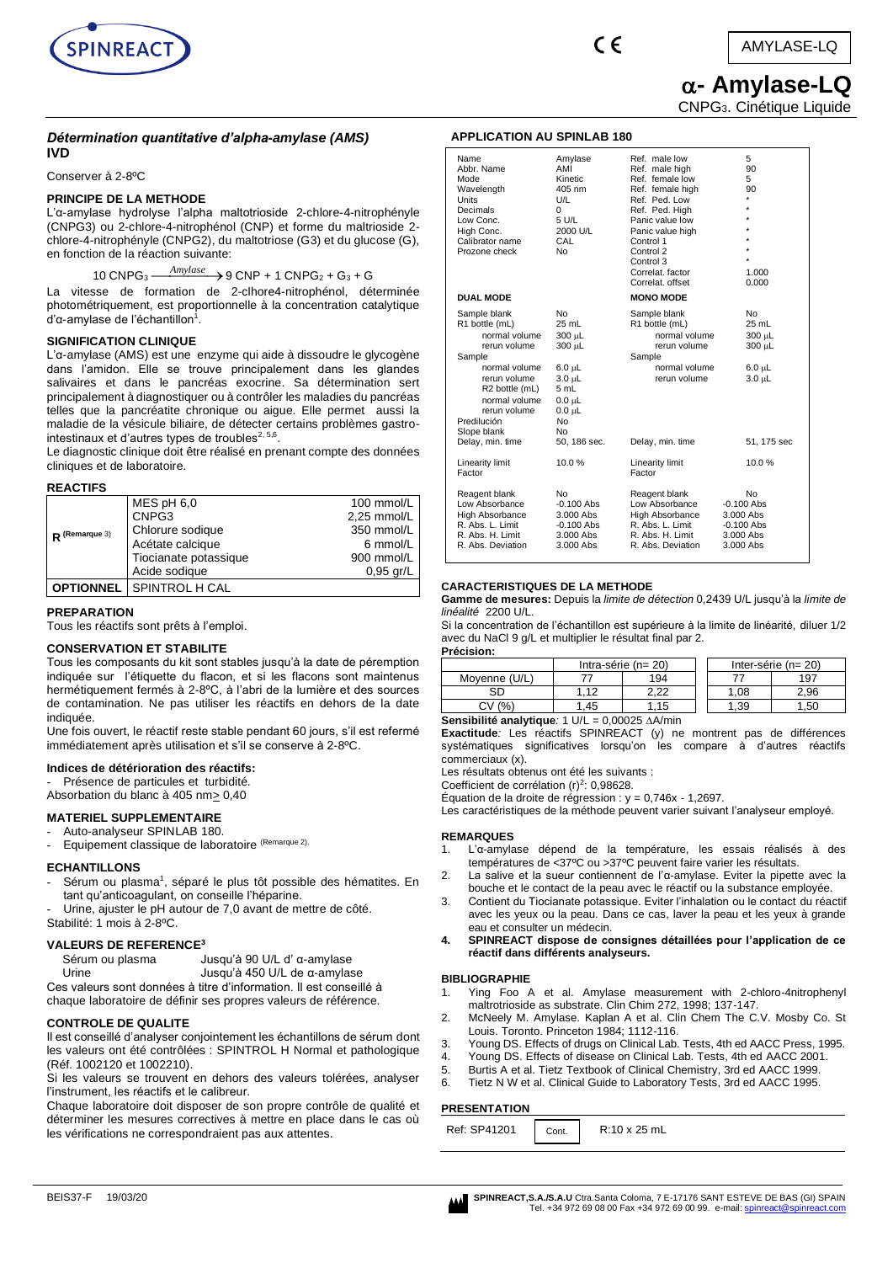

# **- Amylase-LQ**

CNPG3. Cinétique Liquide

### *Détermination quantitative d'alpha-amylase (AMS)* **IVD**

Conserver à 2-8ºC

### **PRINCIPE DE LA METHODE**

L'α-amylase hydrolyse l'alpha maltotrioside 2-chlore-4-nitrophényle (CNPG3) ou 2-chlore-4-nitrophénol (CNP) et forme du maltrioside 2 chlore-4-nitrophényle (CNPG2), du maltotriose (G3) et du glucose (G), en fonction de la réaction suivante:

## 10 CNPG<sub>3</sub>  $\frac{Amylase}{\longrightarrow}$  9 CNP + 1 CNPG<sub>2</sub> + G<sub>3</sub> + G

La vitesse de formation de 2-clhore4-nitrophénol, déterminée photométriquement, est proportionnelle à la concentration catalytique d'α-amylase de l'échantillon<sup>1</sup>.

### **SIGNIFICATION CLINIQUE**

L'α-amylase (AMS) est une [enzyme](http://pcs.adam.com/ency/article/002353.htm) qui aide à dissoudre le glycogène dans l'amidon. Elle se trouve principalement dans les glandes salivaires et dans le pancréas exocrine. Sa détermination sert principalement à diagnostiquer ou à contrôler les maladies du pancréas telles que la pancréatite chronique ou aigue. Elle permet aussi la maladie de la vésicule biliaire, de détecter certains problèmes gastrointestinaux et d'autres types de troubles $^{2,\,5,6}.$ 

Le diagnostic clinique doit être réalisé en prenant compte des données cliniques et de laboratoire.

### **REACTIFS**

| $R$ (Remarque 3) | $MES$ pH $6,0$        | 100 mmol/L  |
|------------------|-----------------------|-------------|
|                  | CNPG3                 | 2,25 mmol/L |
|                  | Chlorure sodique      | 350 mmol/L  |
|                  | Acétate calcique      | 6 mmol/L    |
|                  | Tiocianate potassique | 900 mmol/L  |
|                  | Acide sodique         | $0.95$ gr/L |
| <b>OPTIONNEL</b> | SPINTROL H CAL        |             |

### **PREPARATION**

Tous les réactifs sont prêts à l'emploi.

### **CONSERVATION ET STABILITE**

Tous les composants du kit sont stables jusqu'à la date de péremption indiquée sur l'étiquette du flacon, et si les flacons sont maintenus hermétiquement fermés à 2-8ºC, à l'abri de la lumière et des sources de contamination. Ne pas utiliser les réactifs en dehors de la date indiquée.

Une fois ouvert, le réactif reste stable pendant 60 jours, s'il est refermé immédiatement après utilisation et s'il se conserve à 2-8°C.

### **Indices de détérioration des réactifs:**

Présence de particules et turbidité. Absorbation du blanc à 405 nm> 0,40

### **MATERIEL SUPPLEMENTAIRE**

- Auto-analyseur SPINLAB 180.

Equipement classique de laboratoire (Remarque 2).

### **ECHANTILLONS**

- Sérum ou plasma<sup>1</sup>, séparé le plus tôt possible des hématites. En tant qu'anticoagulant, on conseille l'héparine.
- Urine, ajuster le pH autour de 7,0 avant de mettre de côté.
- Stabilité: 1 mois à 2-8ºC.

### **VALEURS DE REFERENCE<sup>3</sup>**

Sérum ou plasma Jusqu'à 90 U/L d' α-amylase

Urine Jusqu'à 450 U/L de α-amylase

Ces valeurs sont données à titre d'information. Il est conseillé à chaque laboratoire de définir ses propres valeurs de référence.

### **CONTROLE DE QUALITE**

Il est conseillé d'analyser conjointement les échantillons de sérum dont les valeurs ont été contrôlées : SPINTROL H Normal et pathologique (Réf. 1002120 et 1002210).

Si les valeurs se trouvent en dehors des valeurs tolérées, analyser l'instrument, les réactifs et le calibreur.

Chaque laboratoire doit disposer de son propre contrôle de qualité et déterminer les mesures correctives à mettre en place dans le cas où les vérifications ne correspondraient pas aux attentes.

### **APPLICATION AU SPINLAB 180**

| Name<br>Abbr. Name<br>Mode<br>Wavelength<br>Units<br>Decimals<br>Low Conc.<br>High Conc.<br>Calibrator name<br>Prozone check                                                                                                | Amylase<br>AMI<br>Kinetic<br>405 nm<br>U/L<br>0<br>5 U/L<br>2000 U/L<br>CAL<br>No                                          | Ref. male low<br>Ref. male high<br>Ref. female low<br>Ref. female high<br>Ref. Ped. Low<br>Ref. Ped. High<br>Panic value low<br>Panic value high<br>Control 1<br>Control 2<br>Control 3<br>Correlat, factor<br>Correlat, offset | 5<br>90<br>5<br>90<br>$\star$<br>$\star$<br>$\star$<br>1.000<br>0.000   |
|-----------------------------------------------------------------------------------------------------------------------------------------------------------------------------------------------------------------------------|----------------------------------------------------------------------------------------------------------------------------|---------------------------------------------------------------------------------------------------------------------------------------------------------------------------------------------------------------------------------|-------------------------------------------------------------------------|
| <b>DUAL MODE</b>                                                                                                                                                                                                            |                                                                                                                            | <b>MONO MODE</b>                                                                                                                                                                                                                |                                                                         |
| Sample blank<br>R1 bottle (mL)<br>normal volume<br>rerun volume<br>Sample<br>normal volume<br>rerun volume<br>R <sub>2</sub> bottle (mL)<br>normal volume<br>rerun volume<br>Predilución<br>Slope blank<br>Delay, min. time | No<br>25 mL<br>300 µL<br>300 µL<br>$6.0 \mu L$<br>3.0 µL<br>5 mL<br>$0.0 \mu L$<br>$0.0 \mu L$<br>No<br>No<br>50, 186 sec. | Sample blank<br>R1 bottle (mL)<br>normal volume<br>rerun volume<br>Sample<br>normal volume<br>rerun volume<br>Delay, min. time                                                                                                  | No.<br>25 mL<br>300 µL<br>300 µL<br>6.0 µL<br>3.0 µL<br>51, 175 sec     |
| Linearity limit<br>Factor                                                                                                                                                                                                   | 10.0%                                                                                                                      | Linearity limit<br>Factor                                                                                                                                                                                                       | 10.0%                                                                   |
| Reagent blank<br>Low Absorbance<br><b>High Absorbance</b><br>R. Abs. L. Limit<br>R. Abs. H. Limit<br>R. Abs. Deviation                                                                                                      | No<br>$-0.100$ Abs<br>3.000 Abs<br>$-0.100$ Abs<br>3.000 Abs<br>$3.000$ Abs                                                | Reagent blank<br>Low Absorbance<br><b>High Absorbance</b><br>R. Abs. L. Limit<br>R. Abs. H. Limit<br>R. Abs. Deviation                                                                                                          | No<br>-0.100 Abs<br>3.000 Abs<br>$-0.100$ Abs<br>3.000 Abs<br>3.000 Abs |

### **CARACTERISTIQUES DE LA METHODE**

**Gamme de mesures:** Depuis la *limite de détection* 0,2439 U/L jusqu'à la *limite de linéalité* 2200 U/L.

Si la concentration de l'échantillon est supérieure à la limite de linéarité, diluer 1/2 avec du NaCl 9 g/L et multiplier le résultat final par 2.

**Précision:** Intra-série (n= 20) | Inter-série (n= 20) Moyenne (U/L) 77 194 77 197

|                                                          |        |    | מ ה |  | .08 | `.96 |
|----------------------------------------------------------|--------|----|-----|--|-----|------|
|                                                          | CV (%) | 45 |     |  | .39 | .50  |
| Sensibilité analytique: 1 U/L = $0.00025$ $\Delta A/min$ |        |    |     |  |     |      |

**Exactitude***:* Les réactifs SPINREACT (y) ne montrent pas de différences

systématiques significatives lorsqu'on les compare à d'autres réactifs commerciaux (x).

Les résultats obtenus ont été les suivants ·

Coefficient de corrélation (r)<sup>2</sup>: 0,98628.

Équation de la droite de régression : y = 0,746x - 1,2697.

Les caractéristiques de la méthode peuvent varier suivant l'analyseur employé.

### **REMARQUES**

- 1. L'α-amylase dépend de la température, les essais réalisés à des températures de <37ºC ou >37ºC peuvent faire varier les résultats.
- 2. La salive et la sueur contiennent de l'α-amylase. Eviter la pipette avec la bouche et le contact de la peau avec le réactif ou la substance employée.
- 3. Contient du Tiocianate potassique. Eviter l'inhalation ou le contact du réactif avec les yeux ou la peau. Dans ce cas, laver la peau et les yeux à grande eau et consulter un médecin.
- **4. SPINREACT dispose de consignes détaillées pour l'application de ce réactif dans différents analyseurs.**

### **BIBLIOGRAPHIE**

- Ying Foo A et al. Amylase measurement with 2-chloro-4nitrophenyl maltrotrioside as substrate. Clin Chim 272, 1998; 137-147.
- 2. McNeely M. Amylase. Kaplan A et al. Clin Chem The C.V. Mosby Co. St Louis. Toronto. Princeton 1984: 1112-116.
- 3. Young DS. Effects of drugs on Clinical Lab. Tests, 4th ed AACC Press, 1995.
- Young DS. Effects of disease on Clinical Lab. Tests, 4th ed AACC 2001.
- 5. Burtis A et al. Tietz Textbook of Clinical Chemistry, 3rd ed AACC 1999.
- 6. Tietz N W et al. Clinical Guide to Laboratory Tests, 3rd ed AACC 1995.

### **PRESENTATION**

| Ref: SP41201 | Cont. | R:10 x 25 mL |
|--------------|-------|--------------|
|              |       |              |